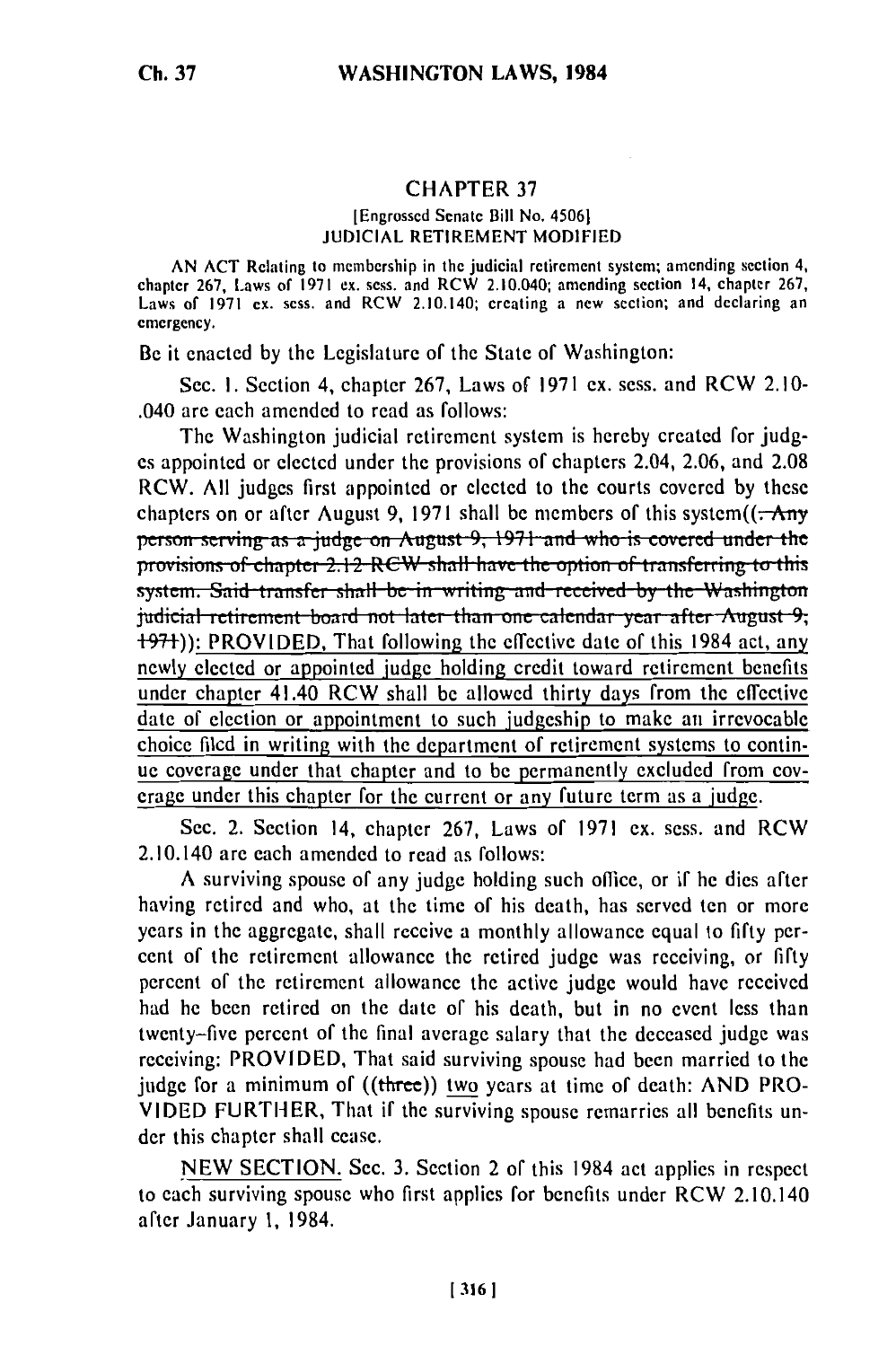## **CHAPTER 37**

## [Engrossed Senate Bill No. 4506] **JUDICIAL RETIREMENT MODIFIED**

AN ACT Relating to membership in the judicial retirement system; amending section 4, chapter 267, Laws of 1971 ex. sess. and RCW 2.10.040; amending section 14, chapter 267, Laws of 1971 ex. sess. and RCW 2.10.140; creating a new section; and declaring an emergency.

Be it enacted by the Legislature of the State of Washington:

Sec. 1. Section 4, chapter 267, Laws of 1971 ex. sess. and RCW 2.10-.040 are each amended to read as follows:

The Washington judicial retirement system is hereby created for judges appointed or elected under the provisions of chapters 2.04, 2.06, and 2.08 RCW. All judges first appointed or elected to the courts covered by these chapters on or after August 9, 1971 shall be members of this system $((\rightarrow$  Any person serving as a judge on August 9, 1971 and who is covered under the provisions of chapter 2.12 RCW shall have the option of transferring to this system. Said transfer shall be in writing and received by the Washington judicial retirement board not later than one calendar year after August 9; **+97+):** PROVIDED. That following the effective date of this 1984 act, any newly elected or appointed judge holding credit toward retirement benefits under chapter 41.40 RCW shall be allowed thirty days from the effective date of election or appointment to such judgeship to make an irrevocable choice filed in writing with the department of retirement systems to continue coverage under that chapter and to be permanently excluded from coverage under this chapter for the current or any future term as a judge.

Sec. 2. Section 14, chapter 267, Laws of 1971 ex. sess. and RCW 2.10.140 are each amended to read as follows:

A surviving spouse of any judge holding such office, or if he dies after having retired and who, at the time of his death, has served ten or more years in the aggregate, shall receive a monthly allowance equal to fifty percent of the retirement allowance the retired judge was receiving, or fifty percent of the retirement allowance the active judge would have received had he been retired on the date of his death, but in no event less than twenty-five percent of the final average salary that the deceased judge was receiving: PROVIDED, That said surviving spouse had been married to the judge for a minimum of ((three)) two years at time of death: AND PRO-VIDED FURTHER, That if the surviving spouse remarries all benefits under this chapter shall cease.

NEW SECTION. Sec. 3. Section 2 of this 1984 act applies in respect to each surviving spouse who first applies for benefits under RCW 2.10.140 after January 1, 1984.